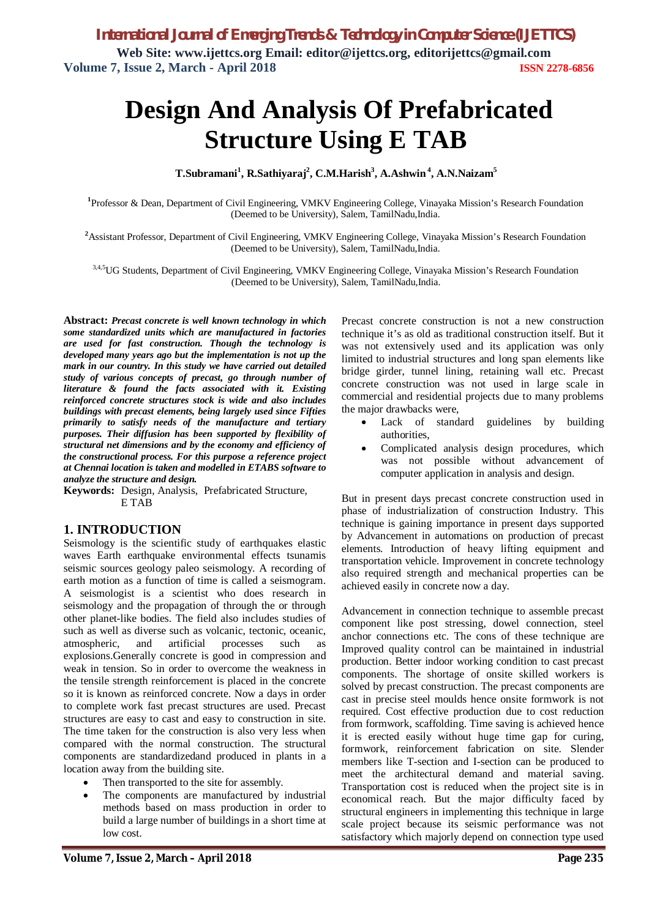# **Design And Analysis Of Prefabricated Structure Using E TAB**

**T.Subramani<sup>1</sup> , R.Sathiyaraj<sup>2</sup> , C.M.Harish<sup>3</sup> , A.Ashwin<sup>4</sup> , A.N.Naizam<sup>5</sup>**

**1** Professor & Dean, Department of Civil Engineering, VMKV Engineering College, Vinayaka Mission's Research Foundation (Deemed to be University), Salem, TamilNadu,India.

**<sup>2</sup>**Assistant Professor, Department of Civil Engineering, VMKV Engineering College, Vinayaka Mission's Research Foundation (Deemed to be University), Salem, TamilNadu,India.

3,4,5UG Students, Department of Civil Engineering, VMKV Engineering College, Vinayaka Mission's Research Foundation (Deemed to be University), Salem, TamilNadu,India.

**Abstract:** *Precast concrete is well known technology in which some standardized units which are manufactured in factories are used for fast construction. Though the technology is developed many years ago but the implementation is not up the mark in our country. In this study we have carried out detailed study of various concepts of precast, go through number of literature & found the facts associated with it. Existing reinforced concrete structures stock is wide and also includes buildings with precast elements, being largely used since Fifties primarily to satisfy needs of the manufacture and tertiary purposes. Their diffusion has been supported by flexibility of structural net dimensions and by the economy and efficiency of the constructional process. For this purpose a reference project at Chennai location is taken and modelled in ETABS software to analyze the structure and design.*

**Keywords:** Design, Analysis, Prefabricated Structure, E TAB

#### **1. INTRODUCTION**

Seismology is the scientific study of earthquakes elastic waves Earth earthquake environmental effects tsunamis seismic sources geology paleo seismology. A recording of earth motion as a function of time is called a seismogram. A seismologist is a scientist who does research in seismology and the propagation of through the or through other planet-like bodies. The field also includes studies of such as well as diverse such as volcanic, tectonic, oceanic, atmospheric, and artificial processes such as explosions.Generally concrete is good in compression and weak in tension. So in order to overcome the weakness in the tensile strength reinforcement is placed in the concrete so it is known as reinforced concrete. Now a days in order to complete work fast precast structures are used. Precast structures are easy to cast and easy to construction in site. The time taken for the construction is also very less when compared with the normal construction. The structural components are standardizedand produced in plants in a location away from the building site.

- Then transported to the site for assembly.
- The components are manufactured by industrial methods based on mass production in order to build a large number of buildings in a short time at low cost.

Precast concrete construction is not a new construction technique it's as old as traditional construction itself. But it was not extensively used and its application was only limited to industrial structures and long span elements like bridge girder, tunnel lining, retaining wall etc. Precast concrete construction was not used in large scale in commercial and residential projects due to many problems the major drawbacks were,

- Lack of standard guidelines by building authorities,
- Complicated analysis design procedures, which was not possible without advancement of computer application in analysis and design.

But in present days precast concrete construction used in phase of industrialization of construction Industry. This technique is gaining importance in present days supported by Advancement in automations on production of precast elements. Introduction of heavy lifting equipment and transportation vehicle. Improvement in concrete technology also required strength and mechanical properties can be achieved easily in concrete now a day.

Advancement in connection technique to assemble precast component like post stressing, dowel connection, steel anchor connections etc. The cons of these technique are Improved quality control can be maintained in industrial production. Better indoor working condition to cast precast components. The shortage of onsite skilled workers is solved by precast construction. The precast components are cast in precise steel moulds hence onsite formwork is not required. Cost effective production due to cost reduction from formwork, scaffolding. Time saving is achieved hence it is erected easily without huge time gap for curing, formwork, reinforcement fabrication on site. Slender members like T-section and I-section can be produced to meet the architectural demand and material saving. Transportation cost is reduced when the project site is in economical reach. But the major difficulty faced by structural engineers in implementing this technique in large scale project because its seismic performance was not satisfactory which majorly depend on connection type used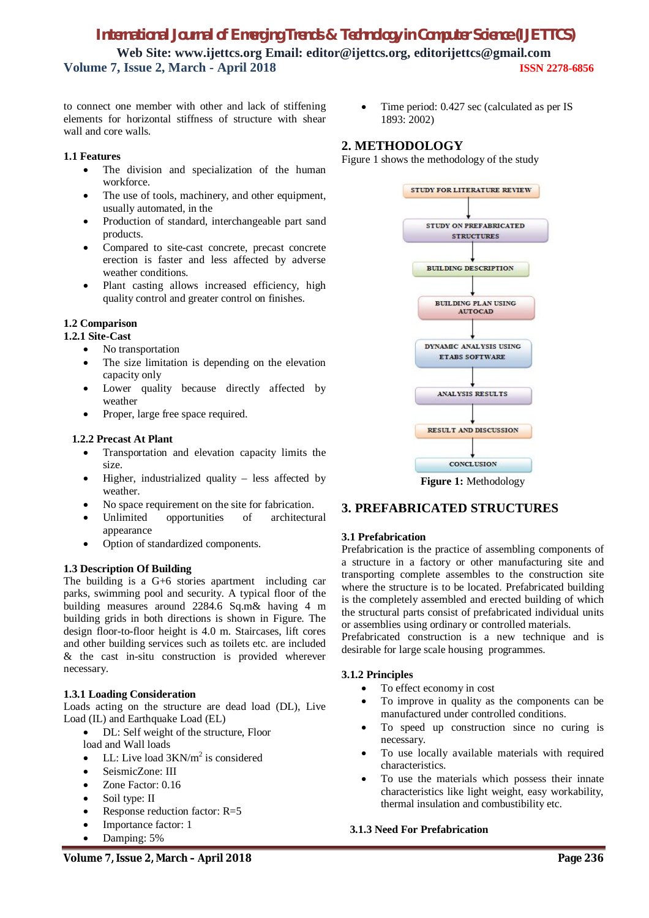to connect one member with other and lack of stiffening elements for horizontal stiffness of structure with shear wall and core walls.

#### **1.1 Features**

- The division and specialization of the human workforce.
- The use of tools, machinery, and other equipment, usually automated, in the
- Production of standard, interchangeable part sand products.
- Compared to site-cast concrete, precast concrete erection is faster and less affected by adverse weather conditions.
- Plant casting allows increased efficiency, high quality control and greater control on finishes.

#### **1.2 Comparison**

#### **1.2.1 Site-Cast**

- No transportation
- The size limitation is depending on the elevation capacity only
- Lower quality because directly affected by weather
- Proper, large free space required.

#### **1.2.2 Precast At Plant**

- Transportation and elevation capacity limits the size.
- Higher, industrialized quality less affected by weather.
- No space requirement on the site for fabrication.
- Unlimited opportunities of architectural appearance
- Option of standardized components.

#### **1.3 Description Of Building**

The building is a G+6 stories apartment including car parks, swimming pool and security. A typical floor of the building measures around 2284.6 Sq.m& having 4 m building grids in both directions is shown in Figure. The design floor-to-floor height is 4.0 m. Staircases, lift cores and other building services such as toilets etc. are included & the cast in-situ construction is provided wherever necessary.

#### **1.3.1 Loading Consideration**

Loads acting on the structure are dead load (DL), Live Load (IL) and Earthquake Load (EL)

- DL: Self weight of the structure, Floor
- load and Wall loads
- LL: Live load  $3KN/m^2$  is considered
- SeismicZone: III
- Zone Factor: 0.16
- Soil type: II
- Response reduction factor: R=5
- Importance factor: 1
- Damping: 5%

 Time period: 0.427 sec (calculated as per IS 1893: 2002)

## **2. METHODOLOGY**

Figure 1 shows the methodology of the study



**Figure 1:** Methodology

## **3. PREFABRICATED STRUCTURES**

#### **3.1 Prefabrication**

Prefabrication is the practice of assembling components of a structure in a factory or other manufacturing site and transporting complete assembles to the construction site where the structure is to be located. Prefabricated building is the completely assembled and erected building of which the structural parts consist of prefabricated individual units or assemblies using ordinary or controlled materials.

Prefabricated construction is a new technique and is desirable for large scale housing programmes.

#### **3.1.2 Principles**

- To effect economy in cost
- To improve in quality as the components can be manufactured under controlled conditions.
- To speed up construction since no curing is necessary.
- To use locally available materials with required characteristics.
- To use the materials which possess their innate characteristics like light weight, easy workability, thermal insulation and combustibility etc.

#### **3.1.3 Need For Prefabrication**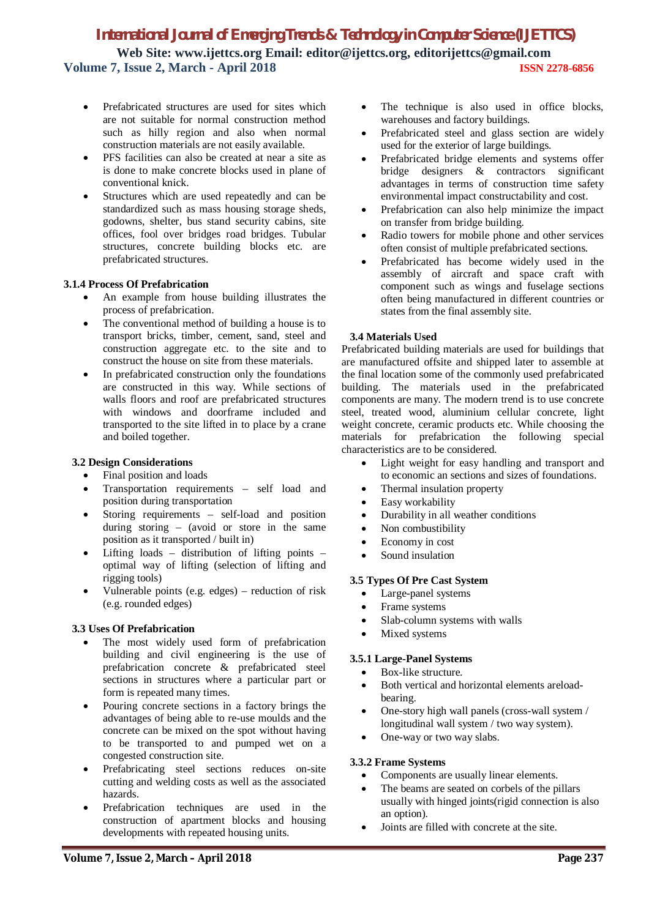- Prefabricated structures are used for sites which are not suitable for normal construction method such as hilly region and also when normal construction materials are not easily available.
- PFS facilities can also be created at near a site as is done to make concrete blocks used in plane of conventional knick.
- Structures which are used repeatedly and can be standardized such as mass housing storage sheds, godowns, shelter, bus stand security cabins, site offices, fool over bridges road bridges. Tubular structures, concrete building blocks etc. are prefabricated structures.

#### **3.1.4 Process Of Prefabrication**

- An example from house building illustrates the process of prefabrication.
- The conventional method of building a house is to transport bricks, timber, cement, sand, steel and construction aggregate etc. to the site and to construct the house on site from these materials.
- In prefabricated construction only the foundations are constructed in this way. While sections of walls floors and roof are prefabricated structures with windows and doorframe included and transported to the site lifted in to place by a crane and boiled together.

#### **3.2 Design Considerations**

- Final position and loads
- Transportation requirements self load and position during transportation
- Storing requirements self-load and position during storing – (avoid or store in the same position as it transported / built in)
- Lifting loads distribution of lifting points optimal way of lifting (selection of lifting and rigging tools)
- Vulnerable points (e.g. edges) reduction of risk (e.g. rounded edges)

#### **3.3 Uses Of Prefabrication**

- The most widely used form of prefabrication building and civil engineering is the use of prefabrication concrete & prefabricated steel sections in structures where a particular part or form is repeated many times.
- Pouring concrete sections in a factory brings the advantages of being able to re-use moulds and the concrete can be mixed on the spot without having to be transported to and pumped wet on a congested construction site.
- Prefabricating steel sections reduces on-site cutting and welding costs as well as the associated hazards.
- Prefabrication techniques are used in the construction of apartment blocks and housing developments with repeated housing units.
- The technique is also used in office blocks, warehouses and factory buildings.
- Prefabricated steel and glass section are widely used for the exterior of large buildings.
- Prefabricated bridge elements and systems offer bridge designers & contractors significant advantages in terms of construction time safety environmental impact constructability and cost.
- Prefabrication can also help minimize the impact on transfer from bridge building.
- Radio towers for mobile phone and other services often consist of multiple prefabricated sections.
- Prefabricated has become widely used in the assembly of aircraft and space craft with component such as wings and fuselage sections often being manufactured in different countries or states from the final assembly site.

#### **3.4 Materials Used**

Prefabricated building materials are used for buildings that are manufactured offsite and shipped later to assemble at the final location some of the commonly used prefabricated building. The materials used in the prefabricated components are many. The modern trend is to use concrete steel, treated wood, aluminium cellular concrete, light weight concrete, ceramic products etc. While choosing the materials for prefabrication the following special characteristics are to be considered.

- Light weight for easy handling and transport and to economic an sections and sizes of foundations.
- Thermal insulation property
- Easy workability
- Durability in all weather conditions
- Non combustibility
- Economy in cost
- Sound insulation

#### **3.5 Types Of Pre Cast System**

- Large-panel systems
- Frame systems
- Slab-column systems with walls
- Mixed systems

#### **3.5.1 Large-Panel Systems**

- Box-like structure.
- Both vertical and horizontal elements areloadbearing.
- One-story high wall panels (cross-wall system / longitudinal wall system / two way system).
- One-way or two way slabs.

#### **3.3.2 Frame Systems**

- Components are usually linear elements.
- The beams are seated on corbels of the pillars usually with hinged joints(rigid connection is also an option).
- Joints are filled with concrete at the site.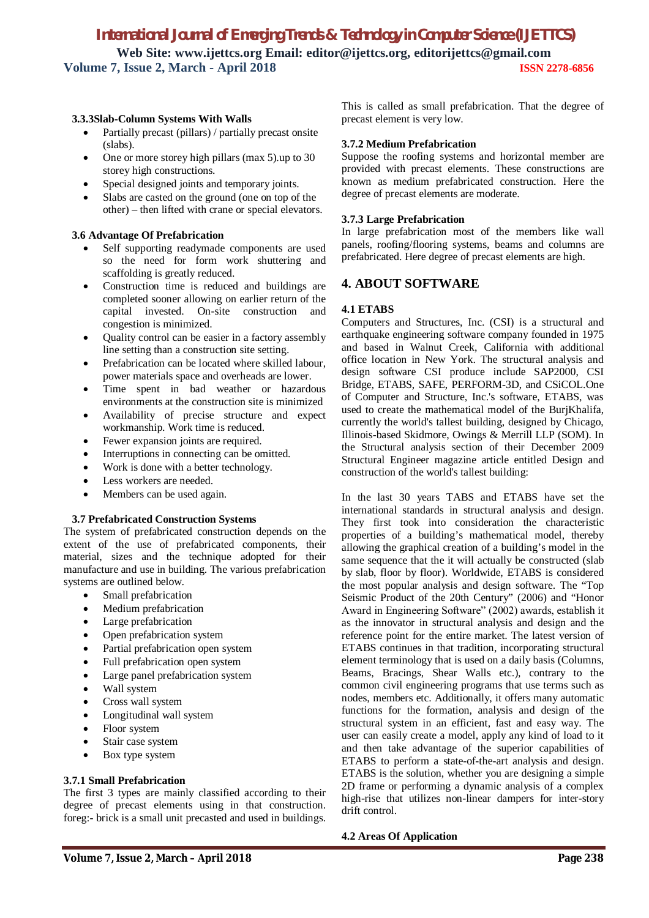#### **3.3.3Slab-Column Systems With Walls**

- Partially precast (pillars) / partially precast onsite (slabs).
- One or more storey high pillars (max 5).up to 30 storey high constructions.
- Special designed joints and temporary joints.
- Slabs are casted on the ground (one on top of the other) – then lifted with crane or special elevators.

#### **3.6 Advantage Of Prefabrication**

- Self supporting readymade components are used so the need for form work shuttering and scaffolding is greatly reduced.
- Construction time is reduced and buildings are completed sooner allowing on earlier return of the capital invested. On-site construction and congestion is minimized.
- Quality control can be easier in a factory assembly line setting than a construction site setting.
- Prefabrication can be located where skilled labour, power materials space and overheads are lower.
- Time spent in bad weather or hazardous environments at the construction site is minimized
- Availability of precise structure and expect workmanship. Work time is reduced.
- Fewer expansion joints are required.
- Interruptions in connecting can be omitted.
- Work is done with a better technology.
- Less workers are needed.
- Members can be used again.

#### **3.7 Prefabricated Construction Systems**

The system of prefabricated construction depends on the extent of the use of prefabricated components, their material, sizes and the technique adopted for their manufacture and use in building. The various prefabrication systems are outlined below.

- Small prefabrication
- Medium prefabrication
- Large prefabrication
- Open prefabrication system
- Partial prefabrication open system
- Full prefabrication open system
- Large panel prefabrication system
- Wall system
- Cross wall system
- Longitudinal wall system
- Floor system
- Stair case system
- Box type system

#### **3.7.1 Small Prefabrication**

The first 3 types are mainly classified according to their degree of precast elements using in that construction. foreg:- brick is a small unit precasted and used in buildings.

This is called as small prefabrication. That the degree of precast element is very low.

#### **3.7.2 Medium Prefabrication**

Suppose the roofing systems and horizontal member are provided with precast elements. These constructions are known as medium prefabricated construction. Here the degree of precast elements are moderate.

#### **3.7.3 Large Prefabrication**

In large prefabrication most of the members like wall panels, roofing/flooring systems, beams and columns are prefabricated. Here degree of precast elements are high.

## **4. ABOUT SOFTWARE**

#### **4.1 ETABS**

Computers and Structures, Inc. (CSI) is a structural and earthquake engineering software company founded in 1975 and based in Walnut Creek, California with additional office location in New York. The structural analysis and design software CSI produce include SAP2000, CSI Bridge, ETABS, SAFE, PERFORM-3D, and CSiCOL.One of Computer and Structure, Inc.'s software, ETABS, was used to create the mathematical model of the BurjKhalifa, currently the world's tallest building, designed by Chicago, Illinois-based Skidmore, Owings & Merrill LLP (SOM). In the Structural analysis section of their December 2009 Structural Engineer magazine article entitled Design and construction of the world's tallest building:

In the last 30 years TABS and ETABS have set the international standards in structural analysis and design. They first took into consideration the characteristic properties of a building's mathematical model, thereby allowing the graphical creation of a building's model in the same sequence that the it will actually be constructed (slab by slab, floor by floor). Worldwide, ETABS is considered the most popular analysis and design software. The "Top Seismic Product of the 20th Century" (2006) and "Honor Αward in Engineering Software" (2002) awards, establish it as the innovator in structural analysis and design and the reference point for the entire market. The latest version of ETABS continues in that tradition, incorporating structural element terminology that is used on a daily basis (Columns, Beams, Bracings, Shear Walls etc.), contrary to the common civil engineering programs that use terms such as nodes, members etc. Additionally, it offers many automatic functions for the formation, analysis and design of the structural system in an efficient, fast and easy way. The user can easily create a model, apply any kind of load to it and then take advantage of the superior capabilities of ETABS to perform a state-of-the-art analysis and design. ETABS is the solution, whether you are designing a simple 2D frame or performing a dynamic analysis of a complex high-rise that utilizes non-linear dampers for inter-story drift control.

#### **4.2 Areas Of Application**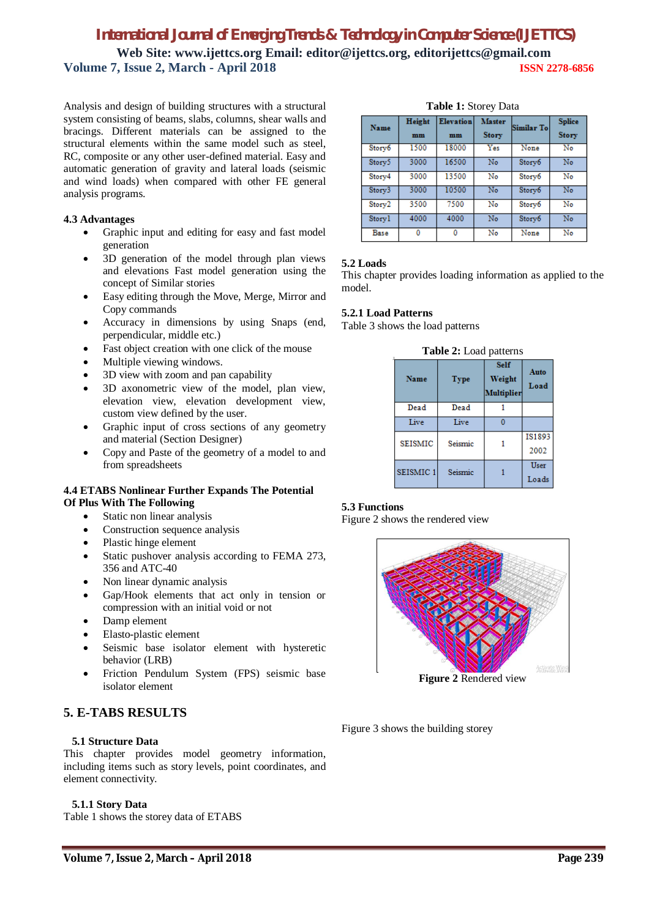Analysis and design of building structures with a structural system consisting of beams, slabs, columns, shear walls and bracings. Different materials can be assigned to the structural elements within the same model such as steel, RC, composite or any other user-defined material. Easy and automatic generation of gravity and lateral loads (seismic and wind loads) when compared with other FE general analysis programs.

#### **4.3 Advantages**

- Graphic input and editing for easy and fast model generation
- 3D generation of the model through plan views and elevations Fast model generation using the concept of Similar stories
- Easy editing through the Move, Merge, Mirror and Copy commands
- Accuracy in dimensions by using Snaps (end, perpendicular, middle etc.)
- Fast object creation with one click of the mouse
- Multiple viewing windows.
- 3D view with zoom and pan capability
- 3D axonometric view of the model, plan view, elevation view, elevation development view, custom view defined by the user.
- Graphic input of cross sections of any geometry and material (Section Designer)
- Copy and Paste of the geometry of a model to and from spreadsheets

#### **4.4 ETABS Nonlinear Further Expands The Potential Of Plus With The Following**

- Static non linear analysis
- Construction sequence analysis
- Plastic hinge element
- Static pushover analysis according to FEMA 273, 356 and ATC-40
- Non linear dynamic analysis
- Gap/Hook elements that act only in tension or compression with an initial void or not
- Damp element
- Elasto-plastic element
- Seismic base isolator element with hysteretic behavior (LRB)
- Friction Pendulum System (FPS) seismic base isolator element

## **5. E-TABS RESULTS**

#### **5.1 Structure Data**

This chapter provides model geometry information, including items such as story levels, point coordinates, and element connectivity.

#### **5.1.1 Story Data**

Table 1 shows the storey data of ETABS

**Table 1:** Storey Data

| Name   | Height<br>mm | <b>Elevation</b><br>mm | <b>Master</b><br><b>Story</b> | Similar To | <b>Splice</b><br><b>Story</b> |
|--------|--------------|------------------------|-------------------------------|------------|-------------------------------|
| Story6 | 1500         | 18000                  | Yes                           | None       | No                            |
| Story5 | 3000         | 16500                  | No                            | Story6     | No                            |
| Story4 | 3000         | 13500                  | No                            | Story6     | No                            |
| Story3 | 3000         | 10500                  | $\overline{\text{No}}$        | Story6     | $\overline{\text{No}}$        |
| Story2 | 3500         | 7500                   | No                            | Story6     | No                            |
| Storyl | 4000         | 4000                   | No                            | Story6     | No                            |
| Base   | ٥            | ٥                      | No                            | None       | No                            |

#### **5.2 Loads**

This chapter provides loading information as applied to the model.

#### **5.2.1 Load Patterns**

Table 3 shows the load patterns

|                      | <b>Table 2:</b> Load patterns |                                            |                       |  |  |  |  |  |  |  |
|----------------------|-------------------------------|--------------------------------------------|-----------------------|--|--|--|--|--|--|--|
| Name                 | <b>Type</b>                   | <b>Self</b><br>Weight<br><b>Multiplier</b> | Auto<br>Load          |  |  |  |  |  |  |  |
| Dead                 | Dead                          |                                            |                       |  |  |  |  |  |  |  |
| Live                 | Live                          |                                            |                       |  |  |  |  |  |  |  |
| <b>SEISMIC</b>       | Seismic                       |                                            | <b>IS1893</b><br>2002 |  |  |  |  |  |  |  |
| SEISMIC <sub>1</sub> | Seismic                       |                                            | User<br>Loads         |  |  |  |  |  |  |  |

## **Table 2:** Load patterns

#### **5.3 Functions**

Figure 2 shows the rendered view



Figure 3 shows the building storey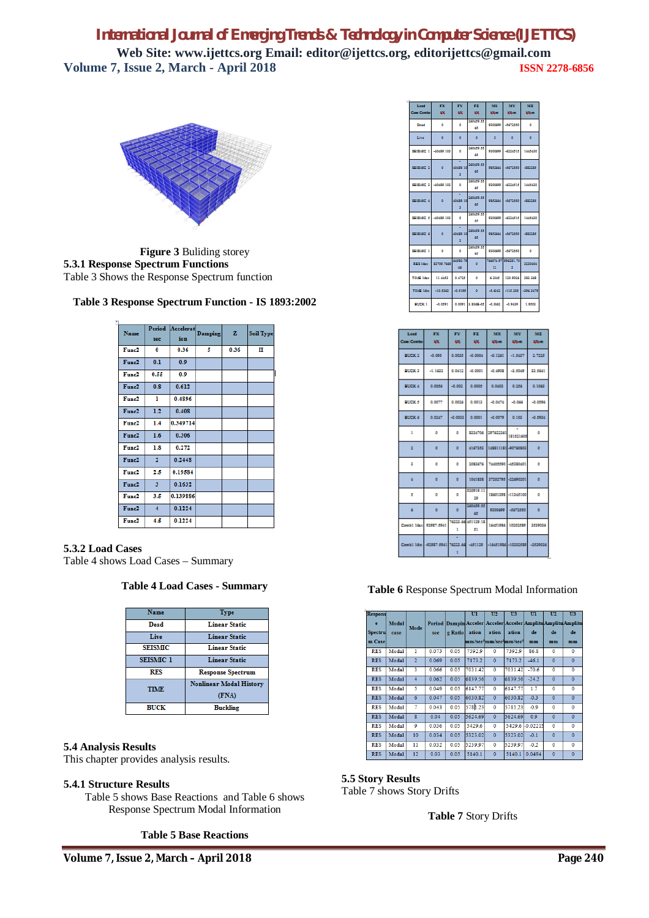

**Figure 3** Buliding storey **5.3.1 Response Spectrum Functions** Table 3 Shows the Response Spectrum function

| Name              | sec                     | Period Accelerat<br>ion | Damping | z    | <b>Soil Type</b> |
|-------------------|-------------------------|-------------------------|---------|------|------------------|
| Func2             | 0                       | 0.36                    | 5       | 0.36 | п                |
| Func2             | 0.1                     | 0.9                     |         |      |                  |
| Func2             | 0.55                    | 0.9                     |         |      |                  |
| Func2             | 0.8                     | 0.612                   |         |      |                  |
| Func <sub>2</sub> | ı                       | 0.4896                  |         |      |                  |
| Func2             | $1.2^{\circ}$           | 0.408                   |         |      |                  |
| Func2             | 1.4                     | 0.349714                |         |      |                  |
| Func2             | 1.6                     | 0.306                   |         |      |                  |
| Func2             | 1.8                     | 0.272                   |         |      |                  |
| Func2             | $\mathbf{2}$            | 0.2448                  |         |      |                  |
| Func <sub>2</sub> | 2.5                     | 0.19584                 |         |      |                  |
| Func2             | $\overline{\mathbf{3}}$ | 0.1632                  |         |      |                  |
| Func2             | 3.5                     | 0.139886                |         |      |                  |
| Func2             | $\overline{\mathbf{4}}$ | 0.1224                  |         |      |                  |
| Func2             | 4.5                     | 0.1224                  |         |      |                  |

## **5.3.2 Load Cases**

Table 4 shows Load Cases – Summary

#### **Table 4 Load Cases - Summary**

| Name             | <b>Type</b>                    |
|------------------|--------------------------------|
| Dead             | <b>Linear Static</b>           |
| Live             | <b>Linear Static</b>           |
| <b>SEISMIC</b>   | <b>Linear Static</b>           |
| <b>SEISMIC 1</b> | <b>Linear Static</b>           |
| RFS              | <b>Response Spectrum</b>       |
| <b>TIME</b>      | <b>Nonlinear Modal History</b> |
|                  | (FNA)                          |
| <b>BUCK</b>      | <b>Buckling</b>                |

#### **5.4 Analysis Results**

This chapter provides analysis results.

#### **5.4.1 Structure Results**

Table 5 shows Base Reactions and Table 6 shows Response Spectrum Modal Information

#### **Table 5 Base Reactions**

| Load<br>Case/Combo  | ж<br>KX.             | FY.<br>κx.                 | . .<br>ioc.                      | MX.<br><b>Dieta</b> | MY.<br><b>Louise</b>     | MZ.<br><b>LOGICAL</b> |
|---------------------|----------------------|----------------------------|----------------------------------|---------------------|--------------------------|-----------------------|
| Dead                | $\circ$              | ۰                          | 260459.55<br>- 65                |                     | 9200699 -5672550         | $\circ$               |
| <b>Elve</b>         | $\circ$              | $\circ$                    | $\circ$                          | $\sim$              | $\circ$                  | $\circ$               |
|                     | SEISMEC 1 -40489.103 | $\bullet$                  | 260459.55<br>- 65                |                     | 9200699 4224515 1445420  |                       |
| \$5,150,000 \$1,100 |                      | ÷<br>40459.10<br>x.        | 260459.55<br>48                  |                     | 9852666 -5672550 -882285 |                       |
|                     | SEISNEC 3 40489.103  | $\bullet$                  | 160459.55<br>- 65                |                     | 9200699 4224515 1445420  |                       |
| sersono di o        |                      | 40459.10<br>x              | 260459.55<br>48.                 |                     | sessee demose destas     |                       |
|                     | SEISNEC 5 -40489.103 | $\bullet$                  | 260459.55<br>- 65                |                     | 9200699 4224515 1445420  |                       |
| sassing of          | $\circ$              | 40459.10<br>×              | 260459.55<br>65                  |                     | 9852666 -5672550 -882285 |                       |
| \$5150,000 1        | $^{\circ}$           | $\circ$                    | 260459.55<br>65                  |                     | 9300699 -5672550         | $\circ$               |
| RES Max.            | \$2709,7669          | 66580.79<br>$\overline{a}$ | $\circ$                          | 12 <sub>1</sub>     | 766074.97 996251.70<br>× | 3220404               |
| TEMP Max            | 11,4452              | 0.4725                     | $\circ$                          | 6.2065              | 120,9026                 | 282,268               |
| TIME Min.           | $-10.5363$           | $-0.5199$                  | $\circ$                          | -8.6242             | $-115,205$               | -306,3479             |
| <b>BUCK 1</b>       | $-0.0591$            |                            | 0.0091 3.5368-05 -0.3562 -0.9439 |                     |                          | 1.9503                |

| Load<br>Case/Combo | FX<br>RX.                               | FY.<br>806 | FZ.<br>KK.                | MX.<br><b>106mm</b> | MY<br><b>koloni</b>             | MZ.<br><b>106mm</b> |
|--------------------|-----------------------------------------|------------|---------------------------|---------------------|---------------------------------|---------------------|
| <b>BUCK 2</b>      | $-0.095$                                | 0.0035     | -0.0004                   | $-0.1261$           | $-1.5837$                       | 2.7225              |
| <b>BUCK 3</b>      | $-1.1632$                               | 0.0412     | $-0.0001$                 | $-0.4908$           | -3,5069                         | 33.5661             |
| <b>BECK 4</b>      | 0.0056                                  | $-0.002$   | 0.0005                    | 0.0403              | 0.256                           | 0.1063              |
| <b>BUCKS</b>       | 0.0077                                  | 0.0026     | 0.0013                    | $-0.0474$           | $-0.066$                        | $-0.0596$           |
| <b>BEER 6</b>      | 0.0247                                  | -0.0033    | 0.0001                    | $-0.0079$           | 0.103                           | -0.5934             |
| $\mathbf{I}$       | $\circ$                                 | $\circ$    |                           |                     | ESSATOS   207622361   151521605 | ۰                   |
| ×                  | $\circ$                                 | $\circ$    | 4167353                   |                     | 145511151-00760503              | $\circ$             |
| и                  | ۰                                       | ۰          | 2053676                   |                     | 76605590 -65380601              | $\circ$             |
| a.                 | $\circ$                                 | $\circ$    | 1041838                   | 37202795 -22690201  |                                 | $\circ$             |
| s                  | ٥                                       | ۰          | 520919.11<br>29           |                     | 18601398 -11345100              | $\circ$             |
| d.                 | $\circ$                                 | $\circ$    | 260459.55<br>48           | 9300699             | -8672550                        | $\circ$             |
|                    | Combi Max 92987.5961                    | -1         | 76223.66 451129.15<br>-51 |                     | 16651986 10202589               | 1519016             |
|                    | Combil Min 492957.5961 76223.66 4551129 |            |                           |                     | -16651986 -10202589 -3539036    |                     |

#### **Table 6** Response Spectrum Modal Information

| <b>Respons</b> |       |                         |       |         | $\mathbf{u}$ | U <sub>2</sub>        | U <sub>3</sub> | uı                                                            | U <sub>2</sub> | $\overline{U}3$ |
|----------------|-------|-------------------------|-------|---------|--------------|-----------------------|----------------|---------------------------------------------------------------|----------------|-----------------|
| e              | Modal |                         |       |         |              |                       |                | Period Dampin Acceler Acceler Acceler Amplitu Amplitu Amplitu |                |                 |
| <b>Spectru</b> | case  | Mode                    | sec   | g Ratio | ation        | ation                 | ation          | de                                                            | de             | de              |
| m Case         |       |                         |       |         |              | mm/sec4mm/sec4mm/sec4 |                | mm                                                            | mm             | mm              |
| <b>RES</b>     | Modal | 1                       | 0.073 | 0.05    | 7392.9       | $\mathbf{0}$          | 7392.9         | 86.8                                                          | $\mathbf{0}$   | $\Omega$        |
| <b>RES</b>     | Modal | $\overline{2}$          | 0.069 | 0.05    | 7173.2       | $\mathbf{0}$          | 7173.2         | $-46.1$                                                       | $\mathbf{0}$   | $\mathbf{0}$    |
| <b>RES</b>     | Modal | 3                       | 0.066 | 0.05    | 7031.42      | $\mathbf{0}$          | 7031.42        | $-70.6$                                                       | $\mathbf{0}$   | $\overline{0}$  |
| <b>RES</b>     | Modal | $\overline{4}$          | 0.062 | 0.05    | 6839.56      | $\Omega$              | 6839.56        | $-24.2$                                                       | $\mathbf{0}$   | $\mathbf{0}$    |
| <b>RES</b>     | Modal | 5                       | 0.049 | 0.05    | 6147.77      | $\Omega$              | 6147.77        | 1.7                                                           | $\mathbf 0$    | $\mathbf 0$     |
| <b>RES</b>     | Modal | $\overline{6}$          | 0.047 | 0.05    | 6030.82      | $\mathbf{0}$          | 6030.82        | $-0.3$                                                        | $\mathbf{0}$   | $\overline{0}$  |
| <b>RES</b>     | Modal | $\overline{7}$          | 0.043 | 0.05    | 5781.23      | $\mathbf{0}$          | 5781.23        | $-0.9$                                                        | $\mathbf{0}$   | $\mathbf{0}$    |
| <b>RES</b>     | Modal | $\overline{\mathbf{g}}$ | 0.04  | 0.05    | 5624.69      | $\Omega$              | 5624.69        | 0.9                                                           | $\Omega$       | $\mathbf{0}$    |
| <b>RES</b>     | Modal | 9                       | 0.036 | 0.05    | 5429.6       | $\overline{0}$        | 5429.6         | $-0.02215$                                                    | $\overline{0}$ | $\overline{0}$  |
| <b>RES</b>     | Modal | 10                      | 0.034 | 0.05    | 5323.02      | $\Omega$              | 5323.02        | $-0.1$                                                        | $\Omega$       | $\mathbf{0}$    |
| <b>RES</b>     | Modal | 11                      | 0.032 | 0.05    | 5239.97      | $\mathbf{0}$          | 5239.97        | $-0.2$                                                        | $\mathbf{0}$   | $\mathbf 0$     |
| <b>RES</b>     | Modal | 12                      | 0.03  | 0.05    | 5140.1       | $\Omega$              | 5140.1         | 0.0494                                                        | $\mathbf{0}$   | $\mathbf{0}$    |

#### **5.5 Story Results**

Table 7 shows Story Drifts

**Table 7** Story Drifts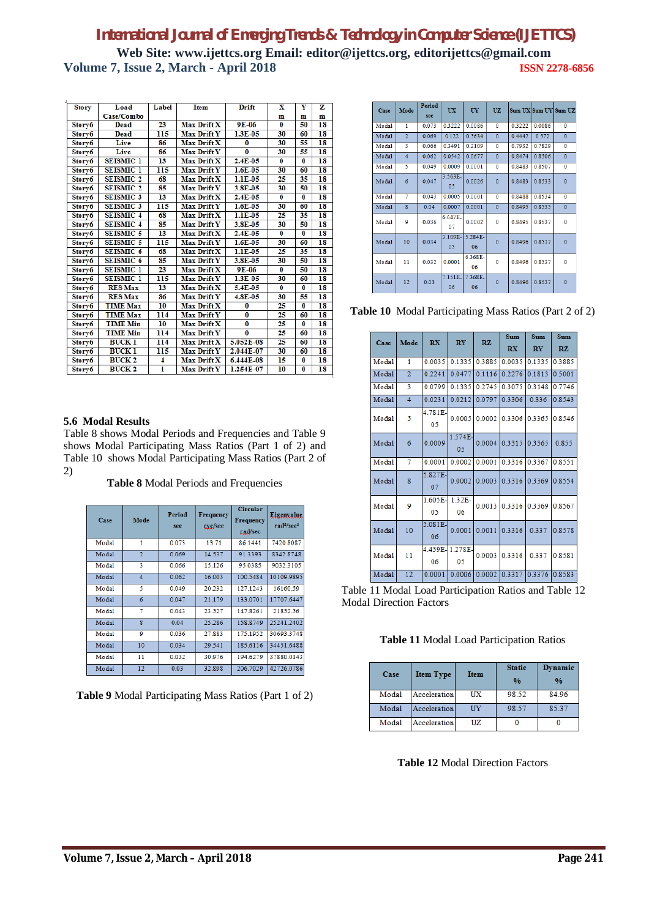| <b>Story</b> | Load                 | Label | <b>Item</b>        | <b>Drift</b>   | $\overline{\mathbf{x}}$ | Y        | z  |
|--------------|----------------------|-------|--------------------|----------------|-------------------------|----------|----|
|              | Case/Combo           |       |                    |                | $\mathbf{m}$            | m        | m  |
| Story6       | Dead                 | 23    | Max Drift X        | $9E-06$        | $\bf{0}$                | 50       | 18 |
| Story6       | Dead                 | 115   | <b>Max Drift Y</b> | 1.3E-05        | 30                      | 60       | 18 |
| Storv6       | Live                 | 86    | Max Drift X        | $\bf{0}$       | 30                      | 55       | 18 |
| Story6       | Live                 | 86    | <b>Max Drift Y</b> | $\overline{0}$ | 30                      | 55       | 18 |
| Story6       | <b>SEISMIC 1</b>     | 13    | Max Drift X        | 2.4E-05        | $\overline{\mathbf{0}}$ | $\bf{0}$ | 18 |
| Story6       | <b>SEISMIC 1</b>     | 115   | Max Drift Y        | $1.6E-0.5$     | 30                      | 60       | 18 |
| Story6       | <b>SEISMIC 2</b>     | 68    | Max Drift X        | 1.1E-05        | 25                      | 35       | 18 |
| Story6       | <b>SEISMIC 2</b>     | 85    | Max Drift Y        | 3.8E-05        | 30                      | 50       | 18 |
| Story6       | SEISMIC <sub>3</sub> | 13    | Max Drift X        | 2.4E-05        | $\bf{0}$                | 0        | 18 |
| Story6       | SEISMIC <sub>3</sub> | 115   | Max Drift Y        | 1.6E-05        | 30                      | 60       | 18 |
| Story6       | SEISMIC <sub>4</sub> | 68    | <b>Max Drift X</b> | 1.1E-05        | 25                      | 35       | 18 |
| Story6       | <b>SEISMIC 4</b>     | 85    | <b>Max Drift Y</b> | 3.8E-05        | 30                      | 50       | 18 |
| Story6       | <b>SEISMIC 5</b>     | 13    | Max Drift X        | 2.4E-05        | $\bf{0}$                | $\bf{0}$ | 18 |
| Storv6       | <b>SEISMIC 5</b>     | 115   | <b>Max Drift Y</b> | $1.6E-0.5$     | 30                      | 60       | 18 |
| Story6       | <b>SEISMIC 6</b>     | 68    | Max Drift X        | 1.1E-05        | 25                      | 35       | 18 |
| Story6       | <b>SEISMIC 6</b>     | 85    | Max Drift Y        | 3.8E-05        | 30                      | 50       | 18 |
| Story6       | <b>SEISMIC 1</b>     | 23    | Max Drift X        | 9E-06          | $\overline{\mathbf{0}}$ | 50       | 18 |
| Story6       | <b>SEISMIC 1</b>     | 115   | Max Drift Y        | 1.3E-05        | 30                      | 60       | 18 |
| Story6       | <b>RES Max</b>       | 13    | Max Drift X        | 5.4E-05        | 0                       | 0        | 18 |
| Story6       | <b>RES Max</b>       | 86    | <b>Max Drift Y</b> | 4.8E-05        | 30                      | 55       | 18 |
| Story6       | <b>TIME Max</b>      | 10    | Max Drift X        | 0              | 25                      | 0        | 18 |
| Story6       | <b>TIME Max</b>      | 114   | Max Drift Y        | $\overline{0}$ | 25                      | 60       | 18 |
| Story6       | <b>TIME Min</b>      | 10    | Max Drift X        | $\bf{0}$       | 25                      | 0        | 18 |
| Story6       | <b>TIME Min</b>      | 114   | <b>Max Drift Y</b> | $\bf{0}$       | 25                      | 60       | 18 |
| Story6       | <b>BUCK 1</b>        | 114   | <b>Max Drift X</b> | 5.052E-08      | 25                      | 60       | 18 |
| Storv6       | <b>BUCK 1</b>        | 115   | Max Drift Y        | 2.044E-07      | 30                      | 60       | 18 |
| Story6       | <b>BUCK 2</b>        | 4     | Max Drift X        | 6.444E-08      | 15                      | 0        | 18 |
| Story6       | <b>BUCK 2</b>        | ī     | <b>Max Drift Y</b> | 1.254E-07      | 10                      | $\bf{0}$ | 18 |
|              |                      |       |                    |                |                         |          |    |

#### **5.6 Modal Results**

Table 8 shows Modal Periods and Frequencies and Table 9 shows Modal Participating Mass Ratios (Part 1 of 2) and Table 10 shows Modal Participating Mass Ratios (Part 2 of 2)

**Table 8** Modal Periods and Frequencies

| Case  | Mode                    | Period<br>sec | <b>Frequency</b><br>cyc/sec | <b>Circular</b><br>Frequency<br>rad/sec | Eigenvalue<br>$rad^2/sec^2$ |
|-------|-------------------------|---------------|-----------------------------|-----------------------------------------|-----------------------------|
| Modal | 1                       | 0.073         | 13.71                       | 86.1441                                 | 7420.8087                   |
| Modal | $\overline{2}$          | 0.069         | 14.537                      | 91.3393                                 | 8342.8748                   |
| Modal | 3                       | 0.066         | 15.126                      | 95.0385                                 | 9032.3105                   |
| Modal | $\overline{4}$          | 0.062         | 16.003                      | 100.5484                                | 10109.9895                  |
| Modal | 5                       | 0.049         | 20.232                      | 127.1243                                | 16160.59                    |
| Modal | 6                       | 0.047         | 21.179                      | 133 0701                                | 17707 6447                  |
| Modal | 7                       | 0.043         | 23.527                      | 147.8261                                | 21852.56                    |
| Modal | $\overline{\mathbf{R}}$ | 0.04          | 25.286                      | 158.8749                                | 25241.2402                  |
| Modal | 9                       | 0.036         | 27.883                      | 175.1952                                | 30693.3748                  |
| Modal | 10                      | 0.034         | 29.541                      | 185.6116                                | 34451.6488                  |
| Modal | 11                      | 0.032         | 30.976                      | 194.6279                                | 37880.0143                  |
| Modal | 12                      | 0.03          | 32.898                      | 206.7029                                | 42726.0786                  |

**Table 9** Modal Participating Mass Ratios (Part 1 of 2)

| Case  | Mode           | <b>Period</b><br>sec | <b>UX</b>        | UY               | <b>UZ</b>    |        | Sum UX Sum UY Sum UZ |              |
|-------|----------------|----------------------|------------------|------------------|--------------|--------|----------------------|--------------|
| Modal | 1              | 0.073                | 0.3222           | 0.0086           | $\bf{0}$     | 0.3222 | 0.0086               | $\bf{0}$     |
| Modal | $\overline{2}$ | 0.069                | 0.122            | 0.5634           | $\mathbf{0}$ | 0.4442 | 0.572                | $\mathbf{0}$ |
| Modal | 3              | 0.066                | 0.3491           | 0.2109           | $\bf{0}$     | 0.7932 | 0.7829               | $\bf{0}$     |
| Modal | $\overline{4}$ | 0.062                | 0.0542           | 0.0677           | $\mathbf{0}$ | 0.8474 | 0.8506               | $\mathbf{0}$ |
| Modal | 5              | 0.049                | 0.0009           | 0.0001           | 0            | 0.8483 | 0.8507               | 0            |
| Modal | 6              | 0.047                | 3.563E-<br>05    | 0.0026           | $\Omega$     | 0.8483 | 0.8533               | $\mathbf 0$  |
| Modal | 7              | 0.043                | 0.0005           | 0.0001           | $\Omega$     | 0.8488 | 0.8534               | 0            |
| Modal | 8              | 0.04                 | 0.0007           | 0.0001           | $\mathbf 0$  | 0.8495 | 0.8535               | $\mathbf{0}$ |
| Modal | 9              | 0.036                | 6.647E-<br>07    | 0.0002           | $\Omega$     | 0.8495 | 0.8537               | $\mathbf 0$  |
| Modal | 10             | 0.034                | $3.109E -$<br>05 | $5.284E -$<br>06 | $\Omega$     | 0.8496 | 0.8537               | $\mathbf{0}$ |
| Modal | 11             | 0.032                | 0.0001           | 6.368E-<br>06    | o            | 0.8496 | 0.8537               | $\bf{0}$     |
| Modal | 12             | 0.03                 | 7.151E-<br>06    | 7.368E-<br>06    | $\mathbf{0}$ | 0.8496 | 0.8537               | $\mathbf{0}$ |

**Table 10** Modal Participating Mass Ratios (Part 2 of 2)

| Case  | Mode            | <b>RX</b>     | RY            | RZ.    | <b>Sum</b> | <b>Sum</b> | <b>Sum</b> |
|-------|-----------------|---------------|---------------|--------|------------|------------|------------|
|       |                 |               |               |        | <b>RX</b>  | <b>RY</b>  | <b>RZ</b>  |
| Modal | 1               | 0.0035        | 0.1335        | 0.3885 | 0.0035     | 0.1335     | 0.3885     |
| Modal | $\overline{2}$  | 0.2241        | 0.0477        | 0.1116 | 0.2276     | 0.1813     | 0.5001     |
| Modal | 3               | 0.0799        | 0.1335        | 0.2745 | 0.3075     | 0.3148     | 0.7746     |
| Modal | $\overline{4}$  | 0.0231        | 0.0212        | 0.0797 | 0.3306     | 0.336      | 0.8543     |
| Modal | 5               | 4.781E-<br>05 | 0.0005        | 0.0002 | 0.3306     | 0.3365     | 0.8546     |
| Modal | 6               | 0.0009        | 1.574E-<br>05 | 0.0004 | 0.3315     | 0.3365     | 0.855      |
| Modal | 7               | 0.0001        | 0.0002        | 0.0001 | 0.3316     | 0.3367     | 0.8551     |
| Modal | 8               | 5.827E-<br>07 | 0.0002        | 0.0003 | 0.3316     | 0.3369     | 0.8554     |
| Modal | 9               | 1.605E-<br>05 | 1.32E-<br>06  | 0.0013 | 0.3316     | 0.3369     | 0.8567     |
| Modal | 10              | 5.081E-<br>06 | 0.0001        | 0.0011 | 0.3316     | 0.337      | 0.8578     |
| Modal | 11              | 4.459E-<br>06 | 1.278E-<br>05 | 0.0003 | 0.3316     | 0.337      | 0.8581     |
| Modal | $\overline{12}$ | 0.0001        | 0.0006        | 0.0002 | 0.3317     | 0.3376     | 0.8583     |

Table 11 Modal Load Participation Ratios and Table 12 Modal Direction Factors

**Table 11** Modal Load Participation Ratios

| Case  | <b>Item Type</b> | <b>Item</b> | <b>Static</b><br>0/6 | Dynamic<br>0/6 |
|-------|------------------|-------------|----------------------|----------------|
| Modal | Acceleration     | UX          | 98.52                | 84.96          |
| Modal | Acceleration     | UY          | 98.57                | 85.37          |
| Modal | Acceleration     | UZ.         |                      |                |

**Table 12** Modal Direction Factors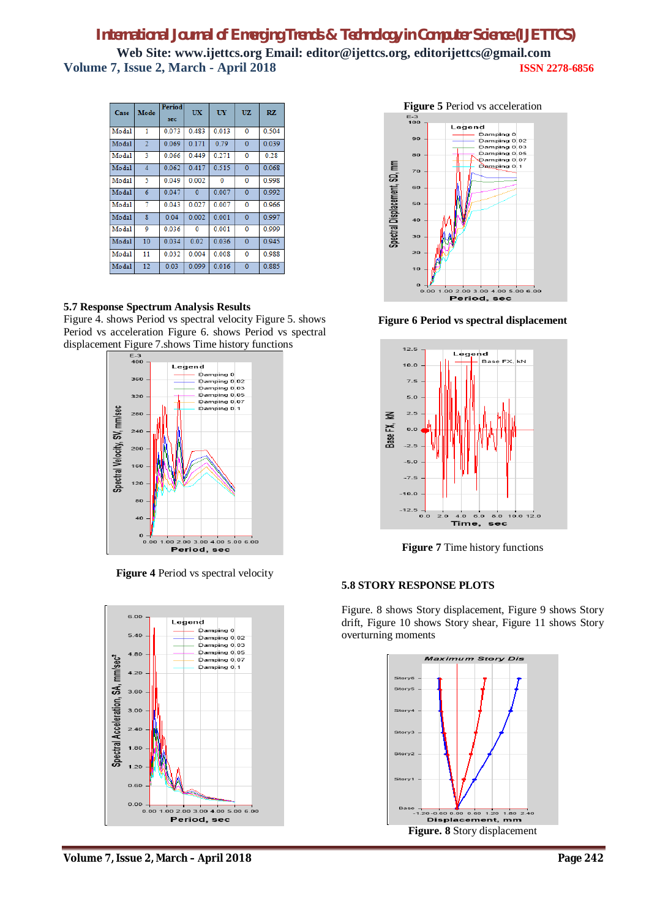| Case  | Mode                    | Period<br>sec | UX           | UY    | <b>UZ</b>      | RZ.   |
|-------|-------------------------|---------------|--------------|-------|----------------|-------|
| Modal | 1                       | 0.073         | 0.483        | 0.013 | $\Omega$       | 0.504 |
| Modal | $\overline{2}$          | 0.069         | 0.171        | 0.79  | $\mathbf{0}$   | 0.039 |
| Modal | 3                       | 0.066         | 0.449        | 0.271 | 0              | 0.28  |
| Modal | $\overline{4}$          | 0.062         | 0417         | 0.515 | $\Omega$       | 0.068 |
| Modal | 5                       | 0.049         | 0.002        | 0     | 0              | 0.998 |
| Modal | 6                       | 0.047         | $\mathbf{0}$ | 0.007 | $\bf{0}$       | 0.992 |
| Modal | 7                       | 0.043         | 0.027        | 0.007 | $\bf{0}$       | 0.966 |
| Modal | $\overline{\mathbf{g}}$ | 0.04          | 0.002        | 0.001 | $\Omega$       | 0997  |
| Modal | 9                       | 0.036         | $\Omega$     | 0.001 | $\overline{0}$ | 0.999 |
| Modal | 10                      | 0.034         | 0.02         | 0.036 | $\mathbf{0}$   | 0.945 |
| Modal | 11                      | 0.032         | 0.004        | 0.008 | 0              | 0.988 |
| Modal | 12                      | 0.03          | 0.099        | 0.016 | $\mathbf{0}$   | 0.885 |

#### **5.7 Response Spectrum Analysis Results**

Figure 4. shows Period vs spectral velocity Figure 5. shows Period vs acceleration Figure 6. shows Period vs spectral displacement Figure 7.shows Time history functions



**Figure 4** Period vs spectral velocity





**Figure 6 Period vs spectral displacement**



**Figure 7** Time history functions

#### **5.8 STORY RESPONSE PLOTS**

Figure. 8 shows Story displacement, Figure 9 shows Story drift, Figure 10 shows Story shear, Figure 11 shows Story overturning moments



**Volume 7, Issue 2, March – April 2018 Page 242**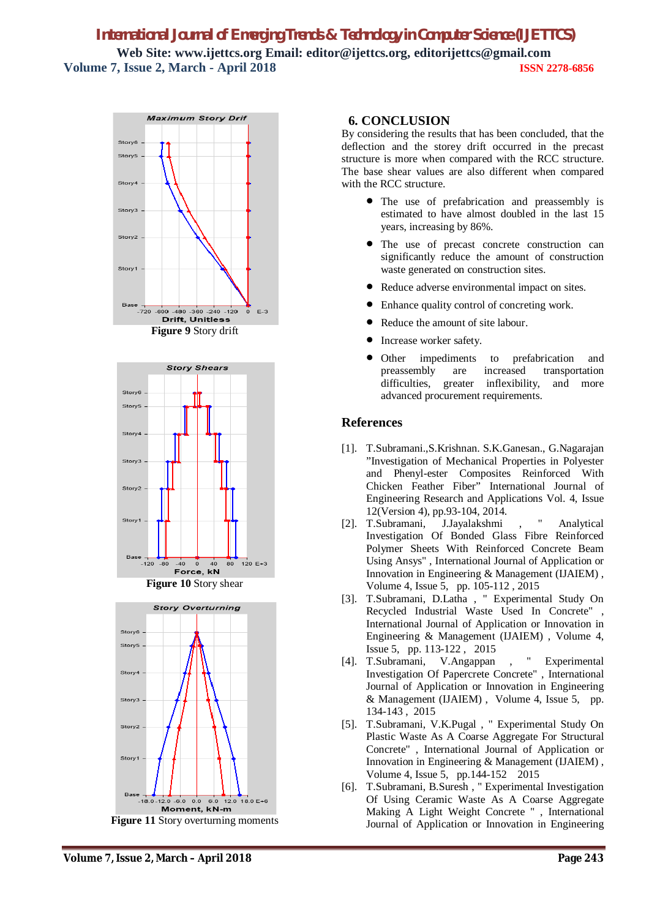







## **6. CONCLUSION**

By considering the results that has been concluded, that the deflection and the storey drift occurred in the precast structure is more when compared with the RCC structure. The base shear values are also different when compared with the RCC structure.

- The use of prefabrication and preassembly is estimated to have almost doubled in the last 15 years, increasing by 86%.
- The use of precast concrete construction can significantly reduce the amount of construction waste generated on construction sites.
- Reduce adverse environmental impact on sites.
- Enhance quality control of concreting work.
- Reduce the amount of site labour.
- Increase worker safety.
- Other impediments to prefabrication and preassembly are increased transportation difficulties, greater inflexibility, and more advanced procurement requirements.

## **References**

- [1]. T.Subramani.,S.Krishnan. S.K.Ganesan., G.Nagarajan "Investigation of Mechanical Properties in Polyester and Phenyl-ester Composites Reinforced With Chicken Feather Fiber" International Journal of Engineering Research and Applications Vol. 4, Issue
- 12(Version 4), pp.93-104, 2014. [2]. T.Subramani, J.Jayalakshmi , " Analytical Investigation Of Bonded Glass Fibre Reinforced Polymer Sheets With Reinforced Concrete Beam Using Ansys" , International Journal of Application or Innovation in Engineering & Management (IJAIEM) , Volume 4, Issue 5, pp. 105-112 , 2015
- [3]. T.Subramani, D.Latha , " Experimental Study On Recycled Industrial Waste Used In Concrete" , International Journal of Application or Innovation in Engineering & Management (IJAIEM) , Volume 4, Issue 5, pp. 113-122 , 2015
- [4]. T.Subramani, V.Angappan , " Experimental Investigation Of Papercrete Concrete" , International Journal of Application or Innovation in Engineering & Management (IJAIEM) , Volume 4, Issue 5, pp. 134-143 , 2015
- [5]. T.Subramani, V.K.Pugal , " Experimental Study On Plastic Waste As A Coarse Aggregate For Structural Concrete" , International Journal of Application or Innovation in Engineering & Management (IJAIEM) , Volume 4, Issue 5, pp.144-152 2015
- [6]. T.Subramani, B.Suresh , " Experimental Investigation Of Using Ceramic Waste As A Coarse Aggregate Making A Light Weight Concrete " , International Journal of Application or Innovation in Engineering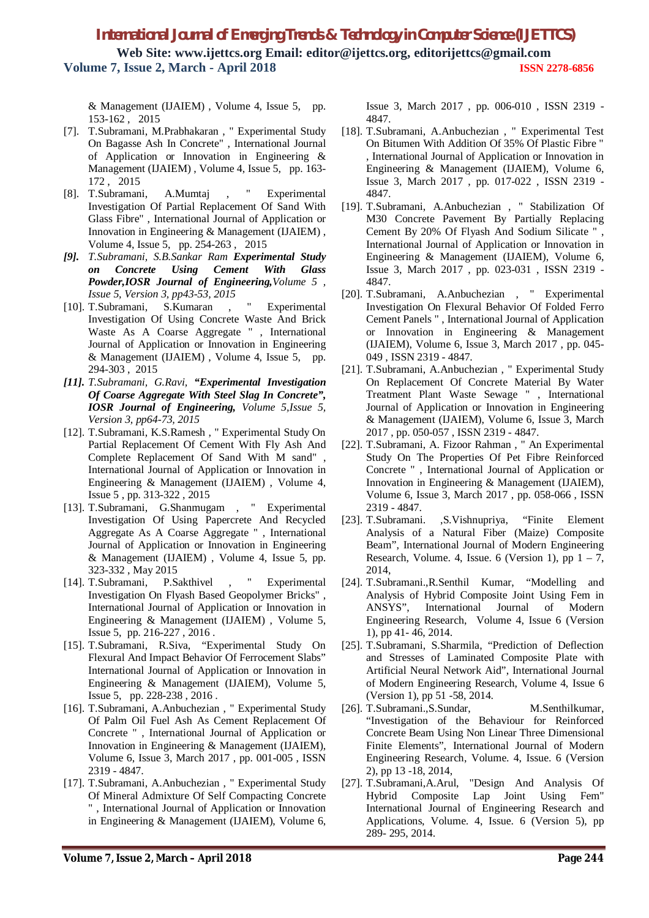& Management (IJAIEM) , Volume 4, Issue 5, pp. 153-162 , 2015

- [7]. T.Subramani, M.Prabhakaran , " Experimental Study On Bagasse Ash In Concrete" , International Journal of Application or Innovation in Engineering & Management (IJAIEM) , Volume 4, Issue 5, pp. 163- 172 , 2015
- [8]. T.Subramani, A.Mumtaj , " Experimental Investigation Of Partial Replacement Of Sand With Glass Fibre" , International Journal of Application or Innovation in Engineering & Management (IJAIEM) , Volume 4, Issue 5, pp. 254-263 , 2015
- *[9]. T.Subramani, S.B.Sankar Ram Experimental Study on Concrete Using Cement With Glass Powder,IOSR Journal of Engineering,Volume 5 , Issue 5, Version 3, pp43-53, 2015*
- [10]. T.Subramani, S.Kumaran , " Experimental Investigation Of Using Concrete Waste And Brick Waste As A Coarse Aggregate " , International Journal of Application or Innovation in Engineering & Management (IJAIEM) , Volume 4, Issue 5, pp. 294-303 , 2015
- *[11]. T.Subramani, G.Ravi, "Experimental Investigation Of Coarse Aggregate With Steel Slag In Concrete", IOSR Journal of Engineering, Volume 5,Issue 5, Version 3, pp64-73, 2015*
- [12]. T.Subramani, K.S.Ramesh , " Experimental Study On Partial Replacement Of Cement With Fly Ash And Complete Replacement Of Sand With M sand" , International Journal of Application or Innovation in Engineering & Management (IJAIEM) , Volume 4, Issue 5 , pp. 313-322 , 2015
- [13]. T.Subramani, G.Shanmugam , " Experimental Investigation Of Using Papercrete And Recycled Aggregate As A Coarse Aggregate " , International Journal of Application or Innovation in Engineering & Management (IJAIEM) , Volume 4, Issue 5, pp. 323-332 , May 2015
- [14]. T.Subramani, P.Sakthivel , " Experimental Investigation On Flyash Based Geopolymer Bricks" , International Journal of Application or Innovation in Engineering & Management (IJAIEM) , Volume 5, Issue 5, pp. 216-227 , 2016 .
- [15]. T.Subramani, R.Siva, "Experimental Study On Flexural And Impact Behavior Of Ferrocement Slabs" International Journal of Application or Innovation in Engineering & Management (IJAIEM), Volume 5, Issue 5, pp. 228-238 , 2016 .
- [16]. T.Subramani, A.Anbuchezian , " Experimental Study Of Palm Oil Fuel Ash As Cement Replacement Of Concrete " , International Journal of Application or Innovation in Engineering & Management (IJAIEM), Volume 6, Issue 3, March 2017 , pp. 001-005 , ISSN 2319 - 4847.
- [17]. T.Subramani, A.Anbuchezian , " Experimental Study Of Mineral Admixture Of Self Compacting Concrete " , International Journal of Application or Innovation in Engineering & Management (IJAIEM), Volume 6,

Issue 3, March 2017 , pp. 006-010 , ISSN 2319 - 4847.

- [18]. T.Subramani, A.Anbuchezian, "Experimental Test On Bitumen With Addition Of 35% Of Plastic Fibre " , International Journal of Application or Innovation in Engineering & Management (IJAIEM), Volume 6, Issue 3, March 2017 , pp. 017-022 , ISSN 2319 - 4847.
- [19]. T.Subramani, A.Anbuchezian , " Stabilization Of M30 Concrete Pavement By Partially Replacing Cement By 20% Of Flyash And Sodium Silicate " , International Journal of Application or Innovation in Engineering & Management (IJAIEM), Volume 6, Issue 3, March 2017 , pp. 023-031 , ISSN 2319 - 4847.
- [20]. T.Subramani, A.Anbuchezian , " Experimental Investigation On Flexural Behavior Of Folded Ferro Cement Panels " , International Journal of Application or Innovation in Engineering & Management (IJAIEM), Volume 6, Issue 3, March 2017 , pp. 045- 049 , ISSN 2319 - 4847.
- [21]. T.Subramani, A.Anbuchezian , " Experimental Study On Replacement Of Concrete Material By Water Treatment Plant Waste Sewage " , International Journal of Application or Innovation in Engineering & Management (IJAIEM), Volume 6, Issue 3, March 2017 , pp. 050-057 , ISSN 2319 - 4847.
- [22]. T.Subramani, A. Fizoor Rahman , " An Experimental Study On The Properties Of Pet Fibre Reinforced Concrete " , International Journal of Application or Innovation in Engineering & Management (IJAIEM), Volume 6, Issue 3, March 2017 , pp. 058-066 , ISSN 2319 - 4847.
- [23]. T.Subramani. ,S.Vishnupriya, "Finite Element Analysis of a Natural Fiber (Maize) Composite Beam", International Journal of Modern Engineering Research, Volume. 4, Issue. 6 (Version 1), pp  $1 - 7$ , 2014,
- [24]. T.Subramani.,R.Senthil Kumar, "Modelling and Analysis of Hybrid Composite Joint Using Fem in ANSYS", International Journal of Modern Engineering Research, Volume 4, Issue 6 (Version 1), pp 41- 46, 2014.
- [25]. T.Subramani, S.Sharmila, "Prediction of Deflection and Stresses of Laminated Composite Plate with Artificial Neural Network Aid", International Journal of Modern Engineering Research, Volume 4, Issue 6 (Version 1), pp 51 -58, 2014.
- [26]. T.Subramani.,S.Sundar, M.Senthilkumar, "Investigation of the Behaviour for Reinforced Concrete Beam Using Non Linear Three Dimensional Finite Elements", International Journal of Modern Engineering Research, Volume. 4, Issue. 6 (Version 2), pp 13 -18, 2014,
- [27]. T.Subramani,A.Arul, "Design And Analysis Of Hybrid Composite Lap Joint Using Fem" International Journal of Engineering Research and Applications, Volume. 4, Issue. 6 (Version 5), pp 289- 295, 2014.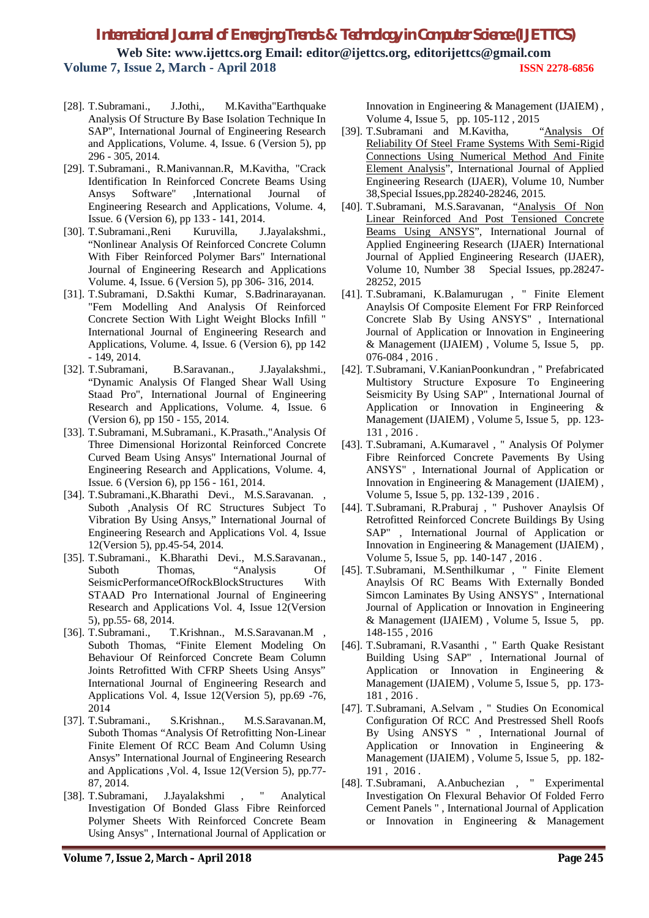- [28]. T.Subramani., J.Jothi,, M.Kavitha"Earthquake Analysis Of Structure By Base Isolation Technique In SAP", International Journal of Engineering Research and Applications, Volume. 4, Issue. 6 (Version 5), pp 296 - 305, 2014.
- [29]. T.Subramani., R.Manivannan.R, M.Kavitha, "Crack Identification In Reinforced Concrete Beams Using Ansys Software" ,International Journal of Engineering Research and Applications, Volume. 4, Issue. 6 (Version 6), pp 133 - 141, 2014.
- [30]. T.Subramani.,Reni Kuruvilla, J.Jayalakshmi., "Nonlinear Analysis Of Reinforced Concrete Column With Fiber Reinforced Polymer Bars" International Journal of Engineering Research and Applications Volume. 4, Issue. 6 (Version 5), pp 306- 316, 2014.
- [31]. T.Subramani, D.Sakthi Kumar, S.Badrinarayanan. "Fem Modelling And Analysis Of Reinforced Concrete Section With Light Weight Blocks Infill " International Journal of Engineering Research and Applications, Volume. 4, Issue. 6 (Version 6), pp 142 - 149, 2014.
- [32]. T.Subramani, B.Saravanan., J.Jayalakshmi., "Dynamic Analysis Of Flanged Shear Wall Using Staad Pro", International Journal of Engineering Research and Applications, Volume. 4, Issue. 6 (Version 6), pp 150 - 155, 2014.
- [33]. T.Subramani, M.Subramani., K.Prasath.,"Analysis Of Three Dimensional Horizontal Reinforced Concrete Curved Beam Using Ansys" International Journal of Engineering Research and Applications, Volume. 4, Issue. 6 (Version 6), pp 156 - 161, 2014.
- [34]. T.Subramani.,K.Bharathi Devi., M.S.Saravanan. , Suboth ,Analysis Of RC Structures Subject To Vibration By Using Ansys," International Journal of Engineering Research and Applications Vol. 4, Issue 12(Version 5), pp.45-54, 2014.
- [35]. T.Subramani., K.Bharathi Devi., M.S.Saravanan., Suboth Thomas, "Analysis Of SeismicPerformanceOfRockBlockStructures With STAAD Pro International Journal of Engineering Research and Applications Vol. 4, Issue 12(Version 5), pp.55- 68, 2014.
- [36]. T.Subramani., T.Krishnan., M.S.Saravanan.M , Suboth Thomas, "Finite Element Modeling On Behaviour Of Reinforced Concrete Beam Column Joints Retrofitted With CFRP Sheets Using Ansys" International Journal of Engineering Research and Applications Vol. 4, Issue 12(Version 5), pp.69 -76, 2014
- [37]. T.Subramani., S.Krishnan., M.S.Saravanan.M, Suboth Thomas "Analysis Of Retrofitting Non-Linear Finite Element Of RCC Beam And Column Using Ansys" International Journal of Engineering Research and Applications ,Vol. 4, Issue 12(Version 5), pp.77- 87, 2014.<br>[38]. T.Subramani.
- J.Jayalakshmi , " Analytical Investigation Of Bonded Glass Fibre Reinforced Polymer Sheets With Reinforced Concrete Beam Using Ansys" , International Journal of Application or

Innovation in Engineering & Management (IJAIEM) ,

- Volume 4, Issue 5, pp. 105-112, 2015<br>T.Subramani and M.Kavitha, "Analysis Of [39]. T.Subramani and M.Kavitha, Reliability Of Steel Frame Systems With Semi-Rigid Connections Using Numerical Method And Finite Element Analysis", International Journal of Applied Engineering Research (IJAER), Volume 10, Number 38,Special Issues,pp.28240-28246, 2015.
- [40]. T.Subramani, M.S.Saravanan, "Analysis Of Non Linear Reinforced And Post Tensioned Concrete Beams Using ANSYS", International Journal of Applied Engineering Research (IJAER) International Journal of Applied Engineering Research (IJAER), Volume 10, Number 38 Special Issues, pp.28247- 28252, 2015
- [41]. T.Subramani, K.Balamurugan , " Finite Element Anaylsis Of Composite Element For FRP Reinforced Concrete Slab By Using ANSYS" , International Journal of Application or Innovation in Engineering & Management (IJAIEM) , Volume 5, Issue 5, pp. 076-084 , 2016 .
- [42]. T.Subramani, V.KanianPoonkundran , " Prefabricated Multistory Structure Exposure To Engineering Seismicity By Using SAP" , International Journal of Application or Innovation in Engineering & Management (IJAIEM) , Volume 5, Issue 5, pp. 123- 131 , 2016 .
- [43]. T.Subramani, A.Kumaravel , " Analysis Of Polymer Fibre Reinforced Concrete Pavements By Using ANSYS" , International Journal of Application or Innovation in Engineering & Management (IJAIEM) , Volume 5, Issue 5, pp. 132-139 , 2016 .
- [44]. T.Subramani, R.Praburaj , " Pushover Anaylsis Of Retrofitted Reinforced Concrete Buildings By Using SAP" , International Journal of Application or Innovation in Engineering & Management (IJAIEM) , Volume 5, Issue 5, pp. 140-147 , 2016 .
- [45]. T.Subramani, M.Senthilkumar , " Finite Element Anaylsis Of RC Beams With Externally Bonded Simcon Laminates By Using ANSYS" , International Journal of Application or Innovation in Engineering & Management (IJAIEM) , Volume 5, Issue 5, pp. 148-155 , 2016
- [46]. T.Subramani, R.Vasanthi , " Earth Quake Resistant Building Using SAP" , International Journal of Application or Innovation in Engineering & Management (IJAIEM) , Volume 5, Issue 5, pp. 173- 181 , 2016 .
- [47]. T.Subramani, A.Selvam , " Studies On Economical Configuration Of RCC And Prestressed Shell Roofs By Using ANSYS " , International Journal of Application or Innovation in Engineering & Management (IJAIEM) , Volume 5, Issue 5, pp. 182- 191 , 2016 .
- [48]. T.Subramani, A.Anbuchezian , " Experimental Investigation On Flexural Behavior Of Folded Ferro Cement Panels " , International Journal of Application or Innovation in Engineering & Management